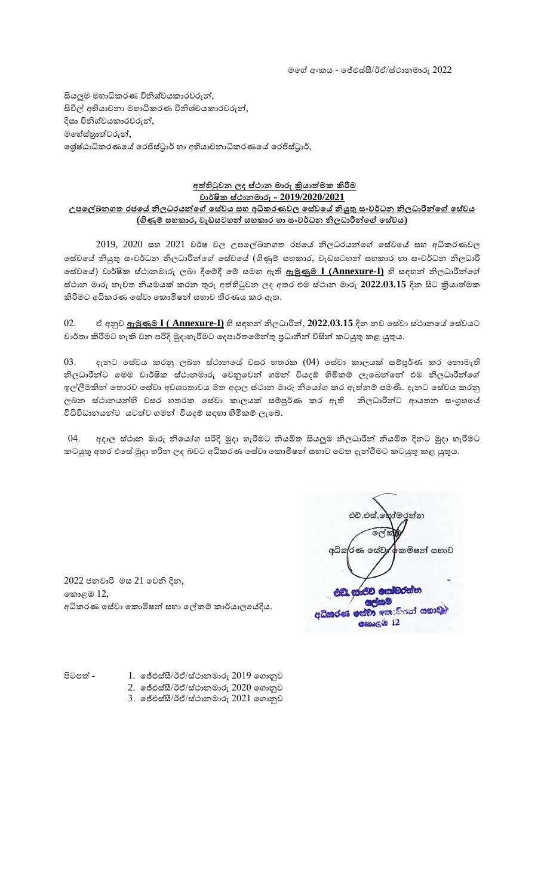සියලුම මහාධිකරණ විනිශ්චයකාරවරුන්, සිවිල් අභියාචනා මහාධිකරණ විනිශ්චයකාරවරුන්, දිසා විනිශ්චයකාරවරුන්, මහේස්තුාත්වරුන්, ගේෂ්ඨාධිකරණයේ රෙජිස්ටුාර් හා අභියාචනාධිකරණයේ රෙජිස්ටුාර්,

#### **අත්හිටුවන ලද ස්ථාන මාරු ක්රිරයාතාත්මක රීම වාර්ෂික ස්ථානමාරු - 2019/2020/2021 උපලේඛනගත රජලේ නිලධරයාතන්ලේ ලසේවයාත සහ අධිකරණවල ලසේවලේ නියුතු සංවර්ධන නිලධාීන්ලේ ලසේවයාත**  <u>(ගිණුම් සහකාර, වැඩසටහන් සහකාර හා සංවර්ධන නිලධාරීන්ගේ සේවය)</u>

 $2019$ ,  $2020$  සහ  $2021$  වර්ෂ වල උපලේඛනගත රජයේ නිලධරයන්ගේ සේවයේ සහ අධිකරණවල ගසේවගර නියුතු සංවර් හධන නිලධාරීන්ගේ ගසේවගර (ගිණුම් සහකාර, වැඩසටහන් සහකාර හා සංවර් හධන නිලධාරී ගසේවගර) වාර් හෂික ස්ථානමාරු ලබා දීගම්දී ගම් සමඟ ඇති **ඇමුණුම I (Annexure-I)** හි සඳහන් නිලධාරීන්ගේ ස්ථාන මාරු නැවත නියමයක් කරන තුරු අත්වරහිටුවන ලද අතර එම ස්ථාන මාරු **2022.03.15** දින සිට ක්රිඳයාත්වරමක කිරීමට අධිකරණ සේවා කොමිෂන් සභාව තීරණය කර ඇත.

02. ඒ අනුව **ඇමුණුම I ( Annexure-I)** හි සඳහන් නිලධාරීන්, **2022.03.15** දින නව ගසේවා ස්ථානගර ගසේවයට වාර්තා කිරීමට හැකි වන පරිදි මුදාහැරීමට දෙපාර්තමේන්තු පුධානීන් විසින් කටයුතු කළ යුතුය.

 $03.$  දැනට සේවය කරනු ලබන ස්ථානයේ වසර හතරක  $(04)$  සේවා කාලයක් සම්පූර්ණ කර නොමැති නිලධාරීන්ට ගමම වාර් හෂික ස්ථානමාරු ගවනුගවන් ගමන් වියදම් හිමිකම් ලැගබන්ගන් එම නිලධාරීන්ගේ ඉල්ලීමකින් ගතොරව ගසේවා අවශාතාවය මත අදාල ස්ථාන මාරු නිගයෝග කර ඇත්වරනම් පමණි. දැනට ගසේවය කරනු ලබන ස්ථානයන්හි වසර හතරක සේවා කාලයක් සම්පුර්ණ කර ඇති නිලධාරීන්ට ආයතන සංගුහයේ විධිවිධානයන්ට යටත්ව ගමන් වියදම් සඳහා හිමිකම් ලැබේ.

04. අදාල ස්ථාන මාරු නිගයෝග පරිදි මුදා හැරීමට නියමිත සියලුම නිලධාරීන් නියමිත දිනට මුදා හැරීමට කටයුතු අතර එසේ මුදා හරින ලද බවට අධිකරණ සේවා කොමිෂන් සභාව වෙත දැන්වීමට කටයුතු කළ යුතුය.

2022 ජනවාරි මස 21 ගවනි දින, ගකො ඹ 12, අධිකරණ සේවා කොමිෂන් සභා ලේකම් කාර්යාලයේදිය.

එච්.එස්.හේන්මරත්න ලේද  $\sqrt{1-\lambda}$ **ලක්මරත්න** අධි<mark>කරණ සේවා</mark> කොවිනේ සභාව **OBJER 12** 

පිටපත් - 1. ජේඑස්සී/ඊඒ/ස්ථානමාරු 2019 ගොනුව 2. ගේඑස්සී/ඊඒ/ස්ථානමාරු 2020 ගගොනුව

3. ගේඑස්සී/ඊඒ/ස්ථානමාරු 2021 ගගොනුව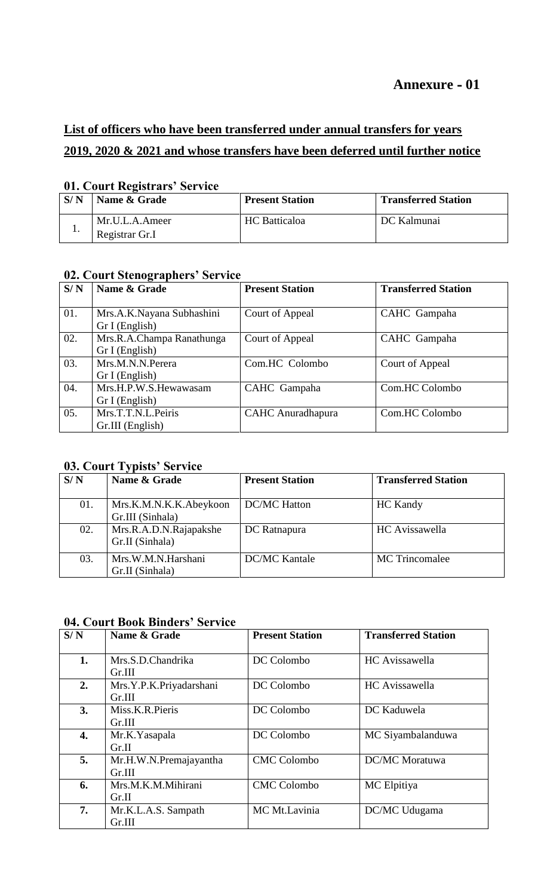# **Annexure - 01**

# **List of officers who have been transferred under annual transfers for years 2019, 2020 & 2021 and whose transfers have been deferred until further notice**

#### **01. Court Registrars' Service**

| S/N | Name & Grade   | <b>Present Station</b> | <b>Transferred Station</b> |
|-----|----------------|------------------------|----------------------------|
| . . | Mr.U.L.A.Ameer | <b>HC</b> Batticaloa   | DC Kalmunai                |
|     | Registrar Gr.I |                        |                            |

#### **02. Court Stenographers' Service**

| S/N | Name & Grade              | <b>Present Station</b>   | <b>Transferred Station</b> |
|-----|---------------------------|--------------------------|----------------------------|
|     |                           |                          |                            |
| 01. | Mrs.A.K.Nayana Subhashini | Court of Appeal          | CAHC Gampaha               |
|     | Gr I (English)            |                          |                            |
| 02. | Mrs.R.A.Champa Ranathunga | Court of Appeal          | CAHC Gampaha               |
|     | Gr I (English)            |                          |                            |
| 03. | Mrs.M.N.N.Perera          | Com.HC Colombo           | Court of Appeal            |
|     | Gr I (English)            |                          |                            |
| 04. | Mrs.H.P.W.S.Hewawasam     | CAHC Gampaha             | Com.HC Colombo             |
|     | Gr I (English)            |                          |                            |
| 05. | Mrs.T.T.N.L.Peiris        | <b>CAHC</b> Anuradhapura | Com.HC Colombo             |
|     | Gr.III (English)          |                          |                            |

### **03. Court Typists' Service**

| S/N | Name & Grade                               | <b>Present Station</b> | <b>Transferred Station</b> |
|-----|--------------------------------------------|------------------------|----------------------------|
| 01. | Mrs.K.M.N.K.K.Abeykoon<br>Gr.III (Sinhala) | <b>DC/MC Hatton</b>    | HC Kandy                   |
| 02. | Mrs.R.A.D.N.Rajapakshe<br>Gr.II (Sinhala)  | DC Ratnapura           | HC Avissawella             |
| 03. | Mrs.W.M.N.Harshani<br>Gr.II (Sinhala)      | <b>DC/MC Kantale</b>   | <b>MC</b> Trincomalee      |

## **04. Court Book Binders' Service**

| S/N | Name & Grade                      | <b>Present Station</b> | <b>Transferred Station</b> |
|-----|-----------------------------------|------------------------|----------------------------|
| 1.  | Mrs.S.D.Chandrika<br>Gr.III       | DC Colombo             | HC Avissawella             |
| 2.  | Mrs.Y.P.K.Priyadarshani<br>Gr.III | DC Colombo             | HC Avissawella             |
| 3.  | Miss.K.R.Pieris<br>Gr.III         | DC Colombo             | DC Kaduwela                |
| 4.  | Mr.K.Yasapala<br>Gr.II            | DC Colombo             | MC Siyambalanduwa          |
| 5.  | Mr.H.W.N.Premajayantha<br>Gr.III  | <b>CMC Colombo</b>     | <b>DC/MC</b> Moratuwa      |
| 6.  | Mrs.M.K.M.Mihirani<br>Gr.II       | <b>CMC Colombo</b>     | MC Elpitiya                |
| 7.  | Mr.K.L.A.S. Sampath<br>Gr.III     | MC Mt.Lavinia          | DC/MC Udugama              |